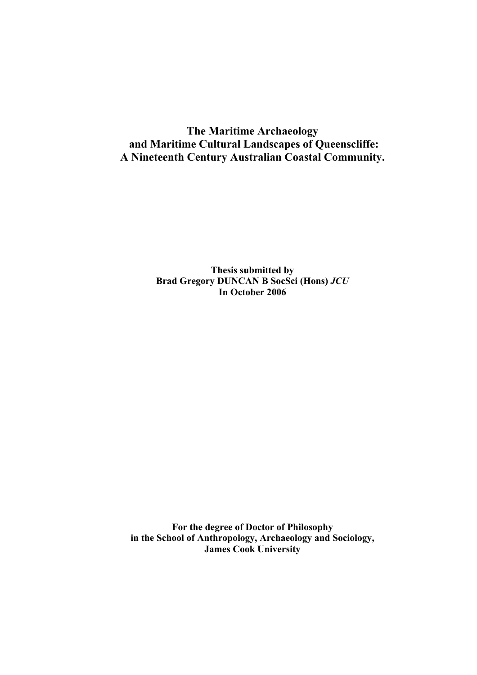## **The Maritime Archaeology and Maritime Cultural Landscapes of Queenscliffe: A Nineteenth Century Australian Coastal Community.**

**Thesis submitted by Brad Gregory DUNCAN B SocSci (Hons)** *JCU*  **In October 2006** 

**For the degree of Doctor of Philosophy in the School of Anthropology, Archaeology and Sociology, James Cook University**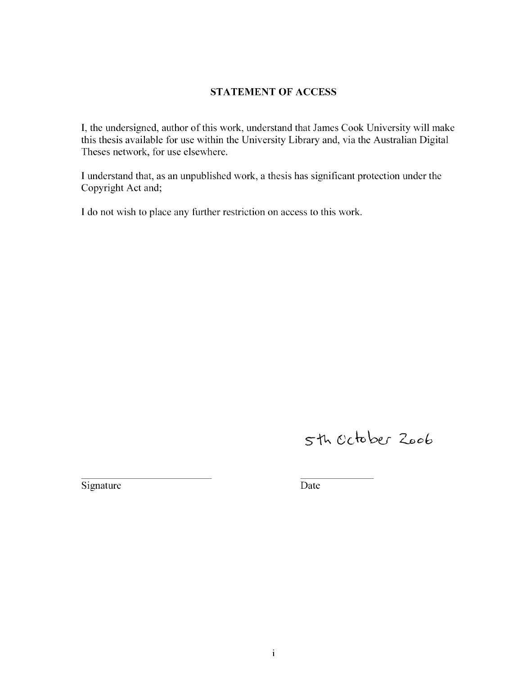#### **STATEMENT OF ACCESS**

I, the undersigned, author of this work, understand that James Cook University will make this thesis available for use within the University Library and, via the Australian Digital Theses network, for use elsewhere.

I understand that, as an unpublished work, a thesis has significant protection under the Copyright Act and;

I do not wish to place any further restriction on access to this work.

# 5th October Zoob

Signature Date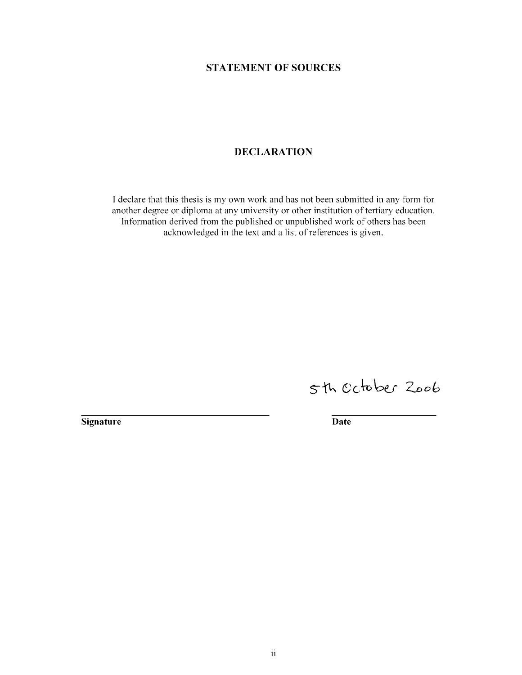#### **STATEMENT OF SOURCES**

#### **DECLARATION**

I declare that this thesis is my own work and has not been submitted in any form for another degree or diploma at any university or other institution of tertiary education. Information derived from the published or unpublished work of others has been acknowledged in the text and a list of references is given.

5th October 2006

**Signature** Date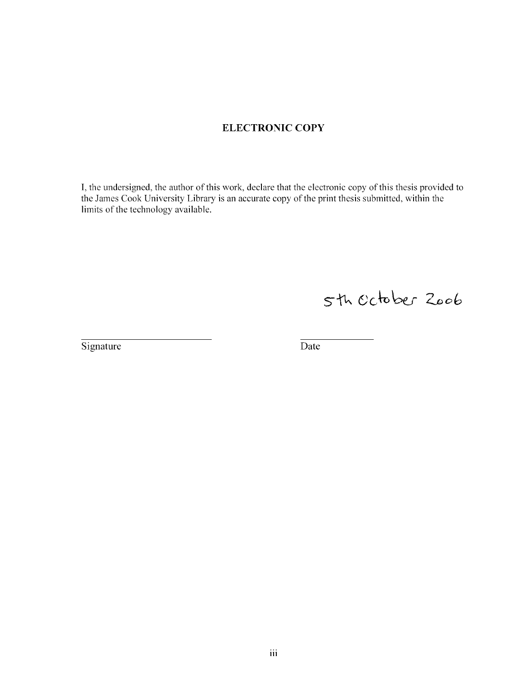#### **ELECTRONIC COPY**

I, the undersigned, the author of this work, declare that the electronic copy of this thesis provided to the James Cook University Library is an accurate copy of the print thesis submitted, within the limits of the technology available.

5th october 2006

Signature Date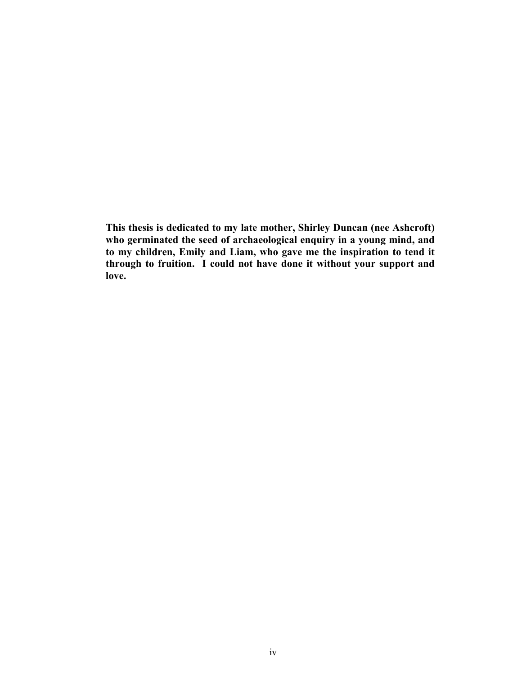**This thesis is dedicated to my late mother, Shirley Duncan (nee Ashcroft) who germinated the seed of archaeological enquiry in a young mind, and to my children, Emily and Liam, who gave me the inspiration to tend it through to fruition. I could not have done it without your support and love.**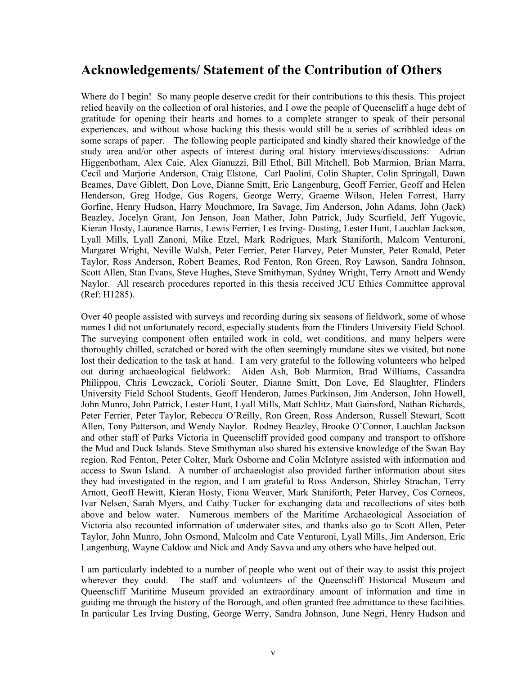## **Acknowledgements/ Statement of the Contribution of Others**

Where do I begin! So many people deserve credit for their contributions to this thesis. This project relied heavily on the collection of oral histories, and I owe the people of Queenscliff a huge debt of gratitude for opening their hearts and homes to a complete stranger to speak of their personal experiences, and without whose backing this thesis would still be a series of scribbled ideas on some scraps of paper. The following people participated and kindly shared their knowledge of the study area and/or other aspects of interest during oral history interviews/discussions: Adrian Higgenbotham, Alex Caie, Alex Gianuzzi, Bill Ethol, Bill Mitchell, Bob Marmion, Brian Marra, Cecil and Marjorie Anderson, Craig Elstone, Carl Paolini, Colin Shapter, Colin Springall, Dawn Beames, Dave Giblett, Don Love, Dianne Smitt, Eric Langenburg, Geoff Ferrier, Geoff and Helen Henderson, Greg Hodge, Gus Rogers, George Werry, Graeme Wilson, Helen Forrest, Harry Gorfine, Henry Hudson, Harry Mouchmore, Ira Savage, Jim Anderson, John Adams, John (Jack) Beazley, Jocelyn Grant, Jon Jenson, Joan Mather, John Patrick, Judy Scurfield, Jeff Yugovic, Kieran Hosty, Laurance Barras, Lewis Ferrier, Les Irving- Dusting, Lester Hunt, Lauchlan Jackson, Lyall Mills, Lyall Zanoni, Mike Etzel, Mark Rodrigues, Mark Staniforth, Malcom Venturoni, Margaret Wright, Neville Walsh, Peter Ferrier, Peter Harvey, Peter Munster, Peter Ronald, Peter Taylor, Ross Anderson, Robert Beames, Rod Fenton, Ron Green, Roy Lawson, Sandra Johnson, Scott Allen, Stan Evans, Steve Hughes, Steve Smithyman, Sydney Wright, Terry Arnott and Wendy Naylor. All research procedures reported in this thesis received JCU Ethics Committee approval (Ref: H1285).

Over 40 people assisted with surveys and recording during six seasons of fieldwork, some of whose names I did not unfortunately record, especially students from the Flinders University Field School. The surveying component often entailed work in cold, wet conditions, and many helpers were thoroughly chilled, scratched or bored with the often seemingly mundane sites we visited, but none lost their dedication to the task at hand. I am very grateful to the following volunteers who helped out during archaeological fieldwork: Aiden Ash, Bob Marmion, Brad Williams, Cassandra Philippou, Chris Lewczack, Corioli Souter, Dianne Smitt, Don Love, Ed Slaughter, Flinders University Field School Students, Geoff Henderon, James Parkinson, Jim Anderson, John Howell, John Munro, John Patrick, Lester Hunt, Lyall Mills, Matt Schlitz, Matt Gainsford, Nathan Richards, Peter Ferrier, Peter Taylor, Rebecca O'Reilly, Ron Green, Ross Anderson, Russell Stewart, Scott Allen, Tony Patterson, and Wendy Naylor. Rodney Beazley, Brooke O'Connor, Lauchlan Jackson and other staff of Parks Victoria in Queenscliff provided good company and transport to offshore the Mud and Duck Islands. Steve Smithyman also shared his extensive knowledge of the Swan Bay region. Rod Fenton, Peter Colter, Mark Osborne and Colin McIntyre assisted with information and access to Swan Island. A number of archaeologist also provided further information about sites they had investigated in the region, and I am grateful to Ross Anderson, Shirley Strachan, Terry Arnott, Geoff Hewitt, Kieran Hosty, Fiona Weaver, Mark Staniforth, Peter Harvey, Cos Corneos, Ivar Nelsen, Sarah Myers, and Cathy Tucker for exchanging data and recollections of sites both above and below water. Numerous members of the Maritime Archaeological Association of Victoria also recounted information of underwater sites, and thanks also go to Scott Allen, Peter Taylor, John Munro, John Osmond, Malcolm and Cate Venturoni, Lyall Mills, Jim Anderson, Eric Langenburg, Wayne Caldow and Nick and Andy Savva and any others who have helped out.

I am particularly indebted to a number of people who went out of their way to assist this project wherever they could. The staff and volunteers of the Queenscliff Historical Museum and Queenscliff Maritime Museum provided an extraordinary amount of information and time in guiding me through the history of the Borough, and often granted free admittance to these facilities. In particular Les Irving Dusting, George Werry, Sandra Johnson, June Negri, Henry Hudson and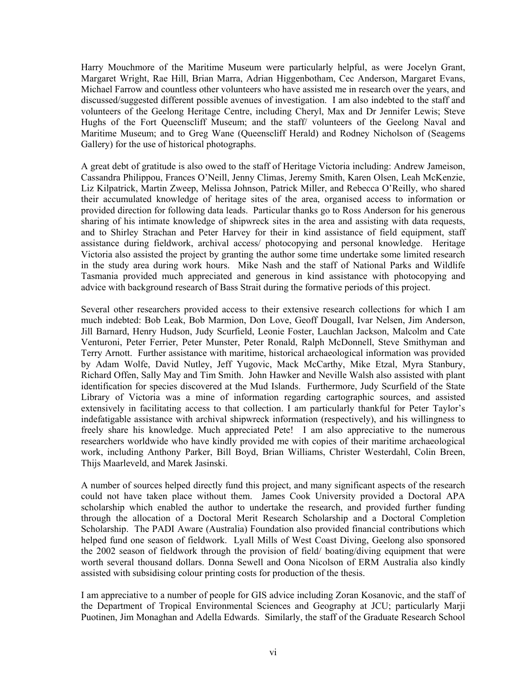Harry Mouchmore of the Maritime Museum were particularly helpful, as were Jocelyn Grant, Margaret Wright, Rae Hill, Brian Marra, Adrian Higgenbotham, Cec Anderson, Margaret Evans, Michael Farrow and countless other volunteers who have assisted me in research over the years, and discussed/suggested different possible avenues of investigation. I am also indebted to the staff and volunteers of the Geelong Heritage Centre, including Cheryl, Max and Dr Jennifer Lewis; Steve Hughs of the Fort Queenscliff Museum; and the staff/ volunteers of the Geelong Naval and Maritime Museum; and to Greg Wane (Queenscliff Herald) and Rodney Nicholson of (Seagems Gallery) for the use of historical photographs.

A great debt of gratitude is also owed to the staff of Heritage Victoria including: Andrew Jameison, Cassandra Philippou, Frances O'Neill, Jenny Climas, Jeremy Smith, Karen Olsen, Leah McKenzie, Liz Kilpatrick, Martin Zweep, Melissa Johnson, Patrick Miller, and Rebecca O'Reilly, who shared their accumulated knowledge of heritage sites of the area, organised access to information or provided direction for following data leads. Particular thanks go to Ross Anderson for his generous sharing of his intimate knowledge of shipwreck sites in the area and assisting with data requests, and to Shirley Strachan and Peter Harvey for their in kind assistance of field equipment, staff assistance during fieldwork, archival access/ photocopying and personal knowledge. Heritage Victoria also assisted the project by granting the author some time undertake some limited research in the study area during work hours. Mike Nash and the staff of National Parks and Wildlife Tasmania provided much appreciated and generous in kind assistance with photocopying and advice with background research of Bass Strait during the formative periods of this project.

Several other researchers provided access to their extensive research collections for which I am much indebted: Bob Leak, Bob Marmion, Don Love, Geoff Dougall, Ivar Nelsen, Jim Anderson, Jill Barnard, Henry Hudson, Judy Scurfield, Leonie Foster, Lauchlan Jackson, Malcolm and Cate Venturoni, Peter Ferrier, Peter Munster, Peter Ronald, Ralph McDonnell, Steve Smithyman and Terry Arnott. Further assistance with maritime, historical archaeological information was provided by Adam Wolfe, David Nutley, Jeff Yugovic, Mack McCarthy, Mike Etzal, Myra Stanbury, Richard Offen, Sally May and Tim Smith. John Hawker and Neville Walsh also assisted with plant identification for species discovered at the Mud Islands. Furthermore, Judy Scurfield of the State Library of Victoria was a mine of information regarding cartographic sources, and assisted extensively in facilitating access to that collection. I am particularly thankful for Peter Taylor's indefatigable assistance with archival shipwreck information (respectively), and his willingness to freely share his knowledge. Much appreciated Pete! I am also appreciative to the numerous researchers worldwide who have kindly provided me with copies of their maritime archaeological work, including Anthony Parker, Bill Boyd, Brian Williams, Christer Westerdahl, Colin Breen, Thijs Maarleveld, and Marek Jasinski.

A number of sources helped directly fund this project, and many significant aspects of the research could not have taken place without them. James Cook University provided a Doctoral APA scholarship which enabled the author to undertake the research, and provided further funding through the allocation of a Doctoral Merit Research Scholarship and a Doctoral Completion Scholarship. The PADI Aware (Australia) Foundation also provided financial contributions which helped fund one season of fieldwork. Lyall Mills of West Coast Diving, Geelong also sponsored the 2002 season of fieldwork through the provision of field/ boating/diving equipment that were worth several thousand dollars. Donna Sewell and Oona Nicolson of ERM Australia also kindly assisted with subsidising colour printing costs for production of the thesis.

I am appreciative to a number of people for GIS advice including Zoran Kosanovic, and the staff of the Department of Tropical Environmental Sciences and Geography at JCU; particularly Marji Puotinen, Jim Monaghan and Adella Edwards. Similarly, the staff of the Graduate Research School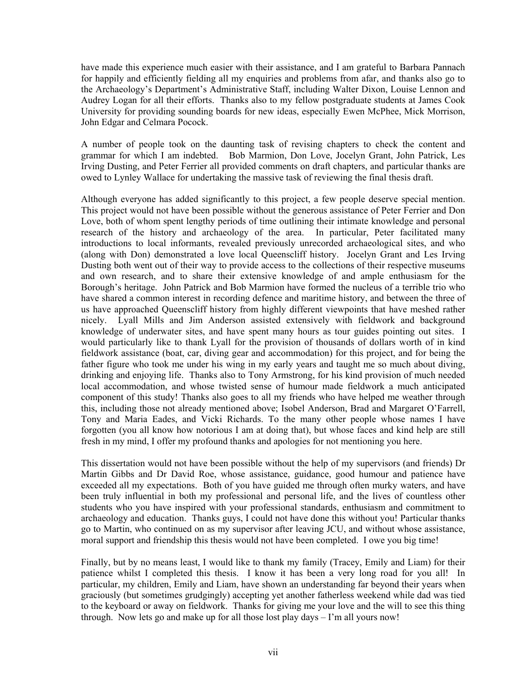have made this experience much easier with their assistance, and I am grateful to Barbara Pannach for happily and efficiently fielding all my enquiries and problems from afar, and thanks also go to the Archaeology's Department's Administrative Staff, including Walter Dixon, Louise Lennon and Audrey Logan for all their efforts. Thanks also to my fellow postgraduate students at James Cook University for providing sounding boards for new ideas, especially Ewen McPhee, Mick Morrison, John Edgar and Celmara Pocock.

A number of people took on the daunting task of revising chapters to check the content and grammar for which I am indebted. Bob Marmion, Don Love, Jocelyn Grant, John Patrick, Les Irving Dusting, and Peter Ferrier all provided comments on draft chapters, and particular thanks are owed to Lynley Wallace for undertaking the massive task of reviewing the final thesis draft.

Although everyone has added significantly to this project, a few people deserve special mention. This project would not have been possible without the generous assistance of Peter Ferrier and Don Love, both of whom spent lengthy periods of time outlining their intimate knowledge and personal research of the history and archaeology of the area. In particular, Peter facilitated many introductions to local informants, revealed previously unrecorded archaeological sites, and who (along with Don) demonstrated a love local Queenscliff history. Jocelyn Grant and Les Irving Dusting both went out of their way to provide access to the collections of their respective museums and own research, and to share their extensive knowledge of and ample enthusiasm for the Borough's heritage. John Patrick and Bob Marmion have formed the nucleus of a terrible trio who have shared a common interest in recording defence and maritime history, and between the three of us have approached Queenscliff history from highly different viewpoints that have meshed rather nicely. Lyall Mills and Jim Anderson assisted extensively with fieldwork and background knowledge of underwater sites, and have spent many hours as tour guides pointing out sites. I would particularly like to thank Lyall for the provision of thousands of dollars worth of in kind fieldwork assistance (boat, car, diving gear and accommodation) for this project, and for being the father figure who took me under his wing in my early years and taught me so much about diving, drinking and enjoying life. Thanks also to Tony Armstrong, for his kind provision of much needed local accommodation, and whose twisted sense of humour made fieldwork a much anticipated component of this study! Thanks also goes to all my friends who have helped me weather through this, including those not already mentioned above; Isobel Anderson, Brad and Margaret O'Farrell, Tony and Maria Eades, and Vicki Richards. To the many other people whose names I have forgotten (you all know how notorious I am at doing that), but whose faces and kind help are still fresh in my mind, I offer my profound thanks and apologies for not mentioning you here.

This dissertation would not have been possible without the help of my supervisors (and friends) Dr Martin Gibbs and Dr David Roe, whose assistance, guidance, good humour and patience have exceeded all my expectations. Both of you have guided me through often murky waters, and have been truly influential in both my professional and personal life, and the lives of countless other students who you have inspired with your professional standards, enthusiasm and commitment to archaeology and education. Thanks guys, I could not have done this without you! Particular thanks go to Martin, who continued on as my supervisor after leaving JCU, and without whose assistance, moral support and friendship this thesis would not have been completed. I owe you big time!

Finally, but by no means least, I would like to thank my family (Tracey, Emily and Liam) for their patience whilst I completed this thesis. I know it has been a very long road for you all! In particular, my children, Emily and Liam, have shown an understanding far beyond their years when graciously (but sometimes grudgingly) accepting yet another fatherless weekend while dad was tied to the keyboard or away on fieldwork. Thanks for giving me your love and the will to see this thing through. Now lets go and make up for all those lost play days – I'm all yours now!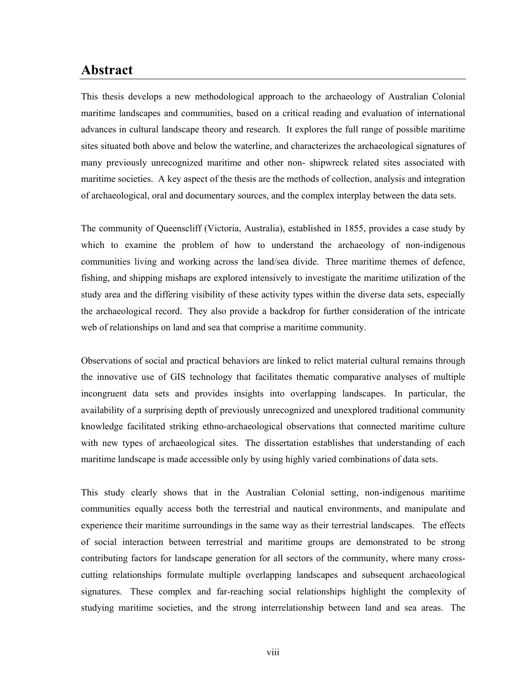### **Abstract**

This thesis develops a new methodological approach to the archaeology of Australian Colonial maritime landscapes and communities, based on a critical reading and evaluation of international advances in cultural landscape theory and research. It explores the full range of possible maritime sites situated both above and below the waterline, and characterizes the archaeological signatures of many previously unrecognized maritime and other non- shipwreck related sites associated with maritime societies. A key aspect of the thesis are the methods of collection, analysis and integration of archaeological, oral and documentary sources, and the complex interplay between the data sets.

The community of Queenscliff (Victoria, Australia), established in 1855, provides a case study by which to examine the problem of how to understand the archaeology of non-indigenous communities living and working across the land/sea divide. Three maritime themes of defence, fishing, and shipping mishaps are explored intensively to investigate the maritime utilization of the study area and the differing visibility of these activity types within the diverse data sets, especially the archaeological record. They also provide a backdrop for further consideration of the intricate web of relationships on land and sea that comprise a maritime community.

Observations of social and practical behaviors are linked to relict material cultural remains through the innovative use of GIS technology that facilitates thematic comparative analyses of multiple incongruent data sets and provides insights into overlapping landscapes. In particular, the availability of a surprising depth of previously unrecognized and unexplored traditional community knowledge facilitated striking ethno-archaeological observations that connected maritime culture with new types of archaeological sites. The dissertation establishes that understanding of each maritime landscape is made accessible only by using highly varied combinations of data sets.

This study clearly shows that in the Australian Colonial setting, non-indigenous maritime communities equally access both the terrestrial and nautical environments, and manipulate and experience their maritime surroundings in the same way as their terrestrial landscapes. The effects of social interaction between terrestrial and maritime groups are demonstrated to be strong contributing factors for landscape generation for all sectors of the community, where many crosscutting relationships formulate multiple overlapping landscapes and subsequent archaeological signatures. These complex and far-reaching social relationships highlight the complexity of studying maritime societies, and the strong interrelationship between land and sea areas. The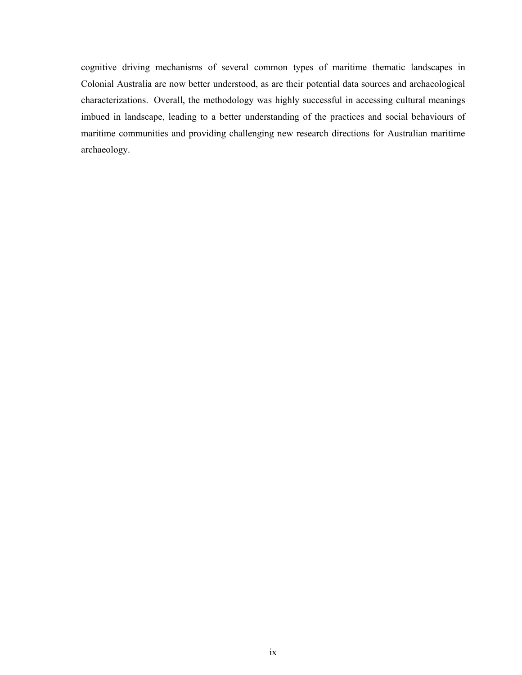cognitive driving mechanisms of several common types of maritime thematic landscapes in Colonial Australia are now better understood, as are their potential data sources and archaeological characterizations. Overall, the methodology was highly successful in accessing cultural meanings imbued in landscape, leading to a better understanding of the practices and social behaviours of maritime communities and providing challenging new research directions for Australian maritime archaeology.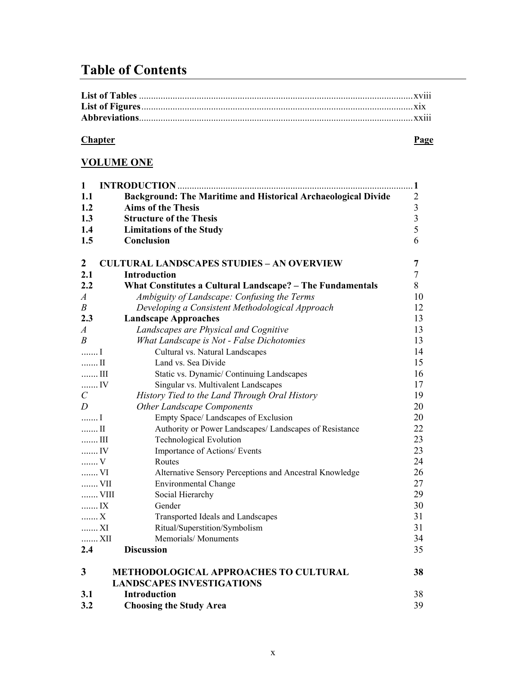# **Table of Contents**

| . |
|---|

### **Chapter** Page

### **VOLUME ONE**

| $\mathbf{1}$             |                                                                      | $\cdot$ 1      |
|--------------------------|----------------------------------------------------------------------|----------------|
| 1.1                      | <b>Background: The Maritime and Historical Archaeological Divide</b> | $\overline{2}$ |
| 1.2                      | <b>Aims of the Thesis</b>                                            | 3              |
| 1.3                      | <b>Structure of the Thesis</b>                                       | 3              |
| 1.4                      | <b>Limitations of the Study</b>                                      | 5              |
| 1.5                      | Conclusion                                                           | 6              |
| $\boldsymbol{2}$         | <b>CULTURAL LANDSCAPES STUDIES - AN OVERVIEW</b>                     | 7              |
| 2.1                      | Introduction                                                         | 7              |
| 2.2                      | What Constitutes a Cultural Landscape? - The Fundamentals            | 8              |
| $\boldsymbol{A}$         | Ambiguity of Landscape: Confusing the Terms                          | 10             |
| $\boldsymbol{B}$         | Developing a Consistent Methodological Approach                      | 12             |
| 2.3                      | <b>Landscape Approaches</b>                                          | 13             |
| $\boldsymbol{A}$         | Landscapes are Physical and Cognitive                                | 13             |
| $\boldsymbol{B}$         | What Landscape is Not - False Dichotomies                            | 13             |
| I                        | Cultural vs. Natural Landscapes                                      | 14             |
| II                       | Land vs. Sea Divide                                                  | 15             |
| $\ldots$ III             | Static vs. Dynamic/ Continuing Landscapes                            | 16             |
| IV                       | Singular vs. Multivalent Landscapes                                  | 17             |
| $\mathcal{C}_{0}^{0}$    | History Tied to the Land Through Oral History                        | 19             |
| D                        | <b>Other Landscape Components</b>                                    | 20             |
| I                        | Empty Space/ Landscapes of Exclusion                                 | 20             |
| $\ldots$ II              | Authority or Power Landscapes/ Landscapes of Resistance              | 22             |
| $\ldots\ldots\ldots$ III | <b>Technological Evolution</b>                                       | 23             |
| IV                       | Importance of Actions/ Events                                        | 23             |
| V                        | Routes                                                               | 24             |
| VI                       | Alternative Sensory Perceptions and Ancestral Knowledge              | 26             |
| VII                      | <b>Environmental Change</b>                                          | 27             |
| VIII                     | Social Hierarchy                                                     | 29             |
| IX                       | Gender                                                               | 30             |
| $\ldots \ldots$ X        | Transported Ideals and Landscapes                                    | 31             |
| XI                       | Ritual/Superstition/Symbolism                                        | 31             |
| XII                      | Memorials/Monuments                                                  | 34             |
| 2.4                      | <b>Discussion</b>                                                    | 35             |
| 3                        | <b>METHODOLOGICAL APPROACHES TO CULTURAL</b>                         | 38             |
|                          | <b>LANDSCAPES INVESTIGATIONS</b>                                     |                |
| 3.1                      | <b>Introduction</b>                                                  | 38             |

**3.2 Choosing the Study Area** 39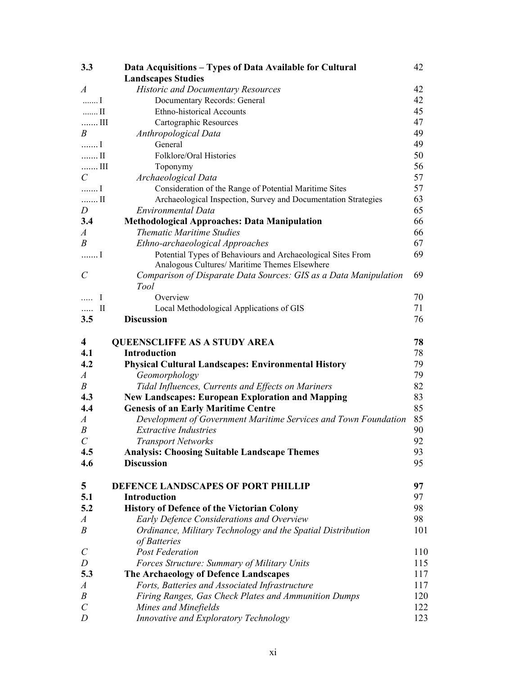| 3.3                     | Data Acquisitions - Types of Data Available for Cultural         | 42  |
|-------------------------|------------------------------------------------------------------|-----|
|                         | <b>Landscapes Studies</b>                                        |     |
| $\overline{A}$          | <b>Historic and Documentary Resources</b>                        | 42  |
| I                       | Documentary Records: General                                     | 42  |
| $\ldots$ II             | <b>Ethno-historical Accounts</b>                                 | 45  |
| $\ldots$ . III          | Cartographic Resources                                           | 47  |
| $\boldsymbol{B}$        | Anthropological Data                                             | 49  |
| I                       | General                                                          | 49  |
| $\ldots$ II             | Folklore/Oral Histories                                          | 50  |
| $\ldots$ III            | Toponymy                                                         | 56  |
| $\mathcal{C}_{0}^{(n)}$ | Archaeological Data                                              | 57  |
| I                       | Consideration of the Range of Potential Maritime Sites           | 57  |
| $\ldots \ldots$ II      | Archaeological Inspection, Survey and Documentation Strategies   | 63  |
| D                       | Environmental Data                                               | 65  |
| 3.4                     | <b>Methodological Approaches: Data Manipulation</b>              | 66  |
| $\boldsymbol{A}$        | <b>Thematic Maritime Studies</b>                                 | 66  |
| B                       | Ethno-archaeological Approaches                                  | 67  |
| I                       | Potential Types of Behaviours and Archaeological Sites From      | 69  |
|                         | Analogous Cultures/ Maritime Themes Elsewhere                    |     |
| $\mathcal{C}_{0}^{0}$   | Comparison of Disparate Data Sources: GIS as a Data Manipulation | 69  |
|                         | <b>Tool</b>                                                      |     |
| $\mathbf I$<br>$\cdots$ | Overview                                                         | 70  |
| $\rm{II}$<br>.          | Local Methodological Applications of GIS                         | 71  |
| 3.5                     | <b>Discussion</b>                                                | 76  |
|                         |                                                                  |     |
| $\overline{\mathbf{4}}$ | <b>QUEENSCLIFFE AS A STUDY AREA</b>                              | 78  |
| 4.1                     | <b>Introduction</b>                                              | 78  |
| 4.2                     | <b>Physical Cultural Landscapes: Environmental History</b>       | 79  |
|                         |                                                                  | 79  |
| $\overline{A}$          | Geomorphology                                                    | 82  |
| B<br>4.3                | Tidal Influences, Currents and Effects on Mariners               |     |
| 4.4                     | <b>New Landscapes: European Exploration and Mapping</b>          | 83  |
|                         | <b>Genesis of an Early Maritime Centre</b>                       | 85  |
| $\boldsymbol{A}$        | Development of Government Maritime Services and Town Foundation  | 85  |
| $\boldsymbol{B}$        | <b>Extractive Industries</b>                                     | 90  |
| $\mathcal{C}_{0}^{0}$   | <b>Transport Networks</b>                                        | 92  |
| 4.5                     | <b>Analysis: Choosing Suitable Landscape Themes</b>              | 93  |
| 4.6                     | <b>Discussion</b>                                                | 95  |
|                         |                                                                  |     |
| 5                       | DEFENCE LANDSCAPES OF PORT PHILLIP                               | 97  |
| 5.1                     | <b>Introduction</b>                                              | 97  |
| 5.2                     | <b>History of Defence of the Victorian Colony</b>                | 98  |
| $\boldsymbol{A}$        | Early Defence Considerations and Overview                        | 98  |
| $\boldsymbol{B}$        | Ordinance, Military Technology and the Spatial Distribution      | 101 |
|                         | of Batteries                                                     |     |
| $\mathcal{C}_{0}^{0}$   | <b>Post Federation</b>                                           | 110 |
| D                       | Forces Structure: Summary of Military Units                      | 115 |
| 5.3                     | The Archaeology of Defence Landscapes                            | 117 |
| $\boldsymbol{A}$        | Forts, Batteries and Associated Infrastructure                   | 117 |
| $\boldsymbol{B}$        | Firing Ranges, Gas Check Plates and Ammunition Dumps             | 120 |
| $\mathcal{C}_{0}^{0}$   | Mines and Minefields                                             | 122 |
| D                       | Innovative and Exploratory Technology                            | 123 |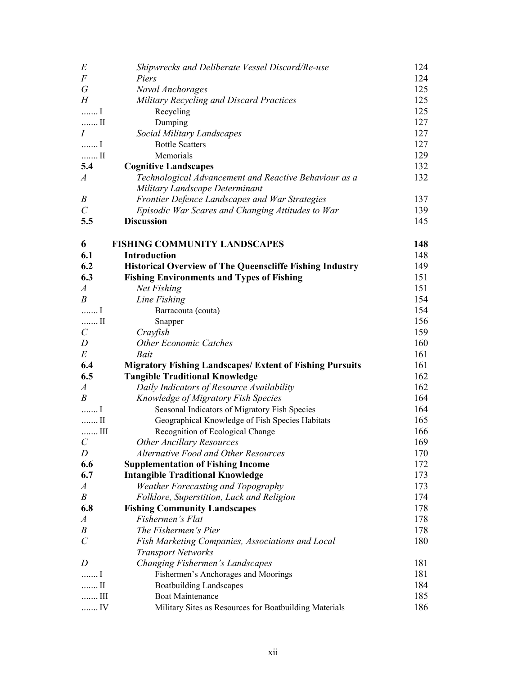| E                           | Shipwrecks and Deliberate Vessel Discard/Re-use                 | 124 |
|-----------------------------|-----------------------------------------------------------------|-----|
| $\boldsymbol{F}$            | Piers                                                           | 124 |
| $\sqrt{G}$                  | Naval Anchorages                                                | 125 |
| H                           | Military Recycling and Discard Practices                        | 125 |
| I                           | Recycling                                                       | 125 |
| $\ldots \ldots$ II          | Dumping                                                         | 127 |
| $\overline{I}$              | Social Military Landscapes                                      | 127 |
| $\ldots \ldots \ldots$      | <b>Bottle Scatters</b>                                          | 127 |
| $\ldots \ldots \ldots$ II   | Memorials                                                       | 129 |
| 5.4                         | <b>Cognitive Landscapes</b>                                     | 132 |
| $\boldsymbol{A}$            | Technological Advancement and Reactive Behaviour as a           | 132 |
|                             | Military Landscape Determinant                                  |     |
| B                           | Frontier Defence Landscapes and War Strategies                  | 137 |
| $\mathcal{C}_{0}^{0}$       | Episodic War Scares and Changing Attitudes to War               | 139 |
| 5.5                         | <b>Discussion</b>                                               | 145 |
| 6                           | <b>FISHING COMMUNITY LANDSCAPES</b>                             | 148 |
| 6.1                         | Introduction                                                    | 148 |
| 6.2                         | <b>Historical Overview of The Queenscliffe Fishing Industry</b> | 149 |
| 6.3                         | <b>Fishing Environments and Types of Fishing</b>                | 151 |
| $\boldsymbol{A}$            | Net Fishing                                                     | 151 |
| B                           | Line Fishing                                                    | 154 |
| $1, \ldots, 1$              | Barracouta (couta)                                              | 154 |
| $ \Pi$                      | Snapper                                                         | 156 |
| $\mathcal{C}_{0}^{(n)}$     | Crayfish                                                        | 159 |
| D                           | <b>Other Economic Catches</b>                                   | 160 |
| $E\,$                       | Bait                                                            | 161 |
| 6.4                         | <b>Migratory Fishing Landscapes/ Extent of Fishing Pursuits</b> | 161 |
| 6.5                         | <b>Tangible Traditional Knowledge</b>                           | 162 |
| $\boldsymbol{A}$            | Daily Indicators of Resource Availability                       | 162 |
| B                           | Knowledge of Migratory Fish Species                             | 164 |
| I                           | Seasonal Indicators of Migratory Fish Species                   | 164 |
| $$ II                       | Geographical Knowledge of Fish Species Habitats                 | 165 |
| $\ldots$ III                | Recognition of Ecological Change                                | 166 |
| $\mathcal{C}_{\mathcal{C}}$ | <b>Other Ancillary Resources</b>                                | 169 |
| D                           | Alternative Food and Other Resources                            | 170 |
| 6.6                         | <b>Supplementation of Fishing Income</b>                        | 172 |
| 6.7                         | <b>Intangible Traditional Knowledge</b>                         | 173 |
| $\boldsymbol{A}$            | <b>Weather Forecasting and Topography</b>                       | 173 |
| $\boldsymbol{B}$            | Folklore, Superstition, Luck and Religion                       | 174 |
| 6.8                         | <b>Fishing Community Landscapes</b>                             | 178 |
| $\boldsymbol{A}$            | Fishermen's Flat                                                | 178 |
| B                           | The Fishermen's Pier                                            | 178 |
| $\mathcal{C}_{0}^{0}$       | Fish Marketing Companies, Associations and Local                | 180 |
|                             | <b>Transport Networks</b>                                       |     |
| D                           | Changing Fishermen's Landscapes                                 | 181 |
| I                           | Fishermen's Anchorages and Moorings                             | 181 |
| $\ldots$ II                 | <b>Boatbuilding Landscapes</b>                                  | 184 |
| $\ldots$ III                | <b>Boat Maintenance</b>                                         | 185 |
| IV                          | Military Sites as Resources for Boatbuilding Materials          | 186 |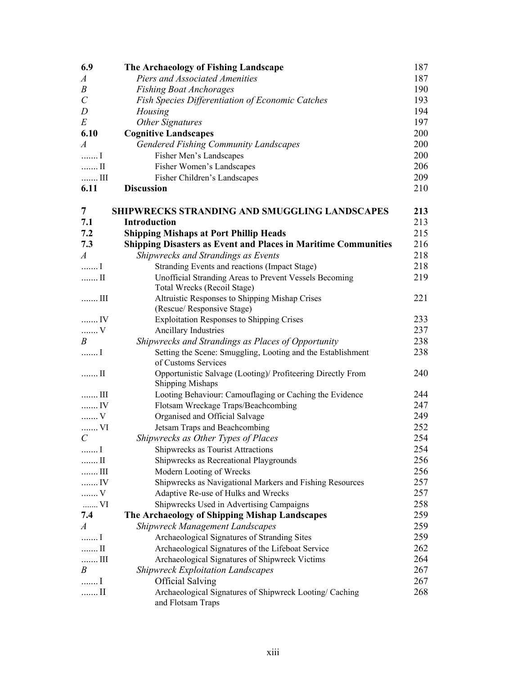| 6.9                       | The Archaeology of Fishing Landscape                                         | 187 |
|---------------------------|------------------------------------------------------------------------------|-----|
| $\boldsymbol{A}$          | Piers and Associated Amenities                                               | 187 |
| $\boldsymbol{B}$          | <b>Fishing Boat Anchorages</b>                                               | 190 |
| $\mathcal{C}_{0}^{0}$     | Fish Species Differentiation of Economic Catches                             | 193 |
| D                         | Housing                                                                      | 194 |
| E                         | <b>Other Signatures</b>                                                      | 197 |
| 6.10                      | <b>Cognitive Landscapes</b>                                                  | 200 |
| $\boldsymbol{A}$          | <b>Gendered Fishing Community Landscapes</b>                                 | 200 |
| I                         | Fisher Men's Landscapes                                                      | 200 |
| $\ldots \ldots \Pi$       | Fisher Women's Landscapes                                                    | 206 |
|                           | Fisher Children's Landscapes                                                 | 209 |
| 6.11                      | <b>Discussion</b>                                                            | 210 |
|                           |                                                                              |     |
| 7                         | <b>SHIPWRECKS STRANDING AND SMUGGLING LANDSCAPES</b>                         | 213 |
| 7.1                       | <b>Introduction</b>                                                          | 213 |
| 7.2                       | <b>Shipping Mishaps at Port Phillip Heads</b>                                | 215 |
| 7.3                       | <b>Shipping Disasters as Event and Places in Maritime Communities</b>        | 216 |
| $\boldsymbol{A}$          | Shipwrecks and Strandings as Events                                          | 218 |
| I                         | Stranding Events and reactions (Impact Stage)                                | 218 |
| $$ II                     | Unofficial Stranding Areas to Prevent Vessels Becoming                       | 219 |
|                           | Total Wrecks (Recoil Stage)                                                  |     |
| $\ldots$ III              | Altruistic Responses to Shipping Mishap Crises                               | 221 |
|                           | (Rescue/ Responsive Stage)                                                   |     |
| IV                        | <b>Exploitation Responses to Shipping Crises</b>                             | 233 |
| $V$                       | Ancillary Industries                                                         | 237 |
| B                         | Shipwrecks and Strandings as Places of Opportunity                           | 238 |
| I                         | Setting the Scene: Smuggling, Looting and the Establishment                  | 238 |
|                           | of Customs Services                                                          |     |
| $\ldots$ II               | Opportunistic Salvage (Looting)/ Profiteering Directly From                  | 240 |
|                           | <b>Shipping Mishaps</b>                                                      |     |
| $\ldots$ III              | Looting Behaviour: Camouflaging or Caching the Evidence                      | 244 |
| IV                        | Flotsam Wreckage Traps/Beachcombing                                          | 247 |
| $V$                       | Organised and Official Salvage                                               | 249 |
| VI                        | Jetsam Traps and Beachcombing                                                | 252 |
| $\mathcal{C}_{0}^{(n)}$   | Shipwrecks as Other Types of Places                                          | 254 |
| I                         | Shipwrecks as Tourist Attractions                                            | 254 |
| $\ldots \ldots \Pi$       | Shipwrecks as Recreational Playgrounds                                       | 256 |
| $\ldots$ III              | Modern Looting of Wrecks                                                     | 256 |
| IV                        | Shipwrecks as Navigational Markers and Fishing Resources                     | 257 |
| $\ldots \ldots \n\cdot V$ | Adaptive Re-use of Hulks and Wrecks                                          | 257 |
| VI                        | Shipwrecks Used in Advertising Campaigns                                     | 258 |
| 7.4                       | The Archaeology of Shipping Mishap Landscapes                                | 259 |
| $\boldsymbol{A}$          | <b>Shipwreck Management Landscapes</b>                                       | 259 |
| I                         | Archaeological Signatures of Stranding Sites                                 | 259 |
| $\ldots \ldots$ II        | Archaeological Signatures of the Lifeboat Service                            | 262 |
| $\ldots$ III              | Archaeological Signatures of Shipwreck Victims                               | 264 |
| B                         | <b>Shipwreck Exploitation Landscapes</b>                                     | 267 |
| 1, 2, 3, 4                | <b>Official Salving</b>                                                      | 267 |
| $\ldots$ II               | Archaeological Signatures of Shipwreck Looting/ Caching<br>and Flotsam Traps | 268 |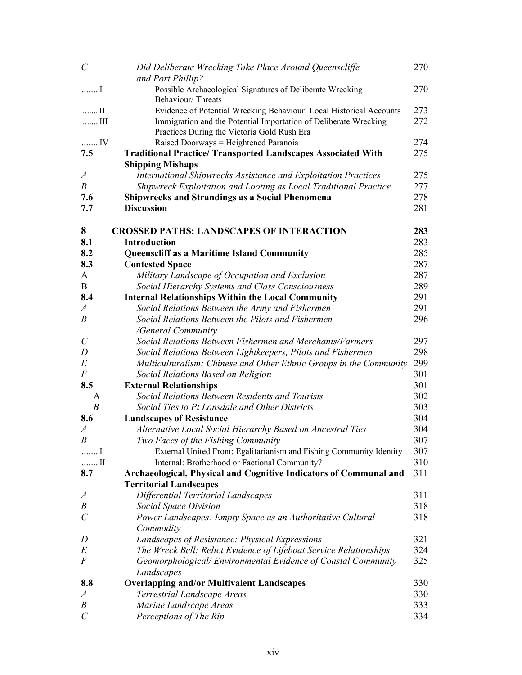| $\mathcal{C}_{0}^{(n)}$      | Did Deliberate Wrecking Take Place Around Queenscliffe<br>and Port Phillip?                                 | 270        |
|------------------------------|-------------------------------------------------------------------------------------------------------------|------------|
| I                            | Possible Archaeological Signatures of Deliberate Wrecking<br>Behaviour/Threats                              | 270        |
| $\ldots$ II                  | Evidence of Potential Wrecking Behaviour: Local Historical Accounts                                         | 273        |
| $\ldots$ III                 | Immigration and the Potential Importation of Deliberate Wrecking                                            | 272        |
|                              | Practices During the Victoria Gold Rush Era                                                                 |            |
| IV                           | Raised Doorways = Heightened Paranoia                                                                       | 274        |
| 7.5                          | <b>Traditional Practice/ Transported Landscapes Associated With</b>                                         | 275        |
|                              | <b>Shipping Mishaps</b>                                                                                     |            |
| $\boldsymbol{A}$             | International Shipwrecks Assistance and Exploitation Practices                                              | 275        |
| $\boldsymbol{B}$             | Shipwreck Exploitation and Looting as Local Traditional Practice                                            | 277        |
| 7.6                          | <b>Shipwrecks and Strandings as a Social Phenomena</b>                                                      | 278        |
| 7.7                          | <b>Discussion</b>                                                                                           | 281        |
| 8                            | <b>CROSSED PATHS: LANDSCAPES OF INTERACTION</b>                                                             | 283        |
| 8.1                          | <b>Introduction</b>                                                                                         | 283        |
| 8.2                          | <b>Queenscliff as a Maritime Island Community</b>                                                           | 285        |
| 8.3                          | <b>Contested Space</b>                                                                                      | 287        |
| A<br>B                       | Military Landscape of Occupation and Exclusion<br>Social Hierarchy Systems and Class Consciousness          | 287<br>289 |
| 8.4                          |                                                                                                             | 291        |
| A                            | <b>Internal Relationships Within the Local Community</b><br>Social Relations Between the Army and Fishermen | 291        |
| B                            | Social Relations Between the Pilots and Fishermen                                                           | 296        |
|                              | /General Community                                                                                          |            |
| $\mathcal{C}_{0}^{(n)}$      | Social Relations Between Fishermen and Merchants/Farmers                                                    | 297        |
| $\boldsymbol{D}$             | Social Relations Between Lightkeepers, Pilots and Fishermen                                                 | 298        |
| $E\,$                        | Multiculturalism: Chinese and Other Ethnic Groups in the Community                                          | 299        |
| $\cal F$                     | Social Relations Based on Religion                                                                          | 301        |
| 8.5                          | <b>External Relationships</b>                                                                               | 301        |
| A                            | Social Relations Between Residents and Tourists                                                             | 302        |
| $\boldsymbol{B}$             | Social Ties to Pt Lonsdale and Other Districts                                                              | 303        |
| 8.6                          | <b>Landscapes of Resistance</b>                                                                             | 304        |
| $\boldsymbol{A}$             | Alternative Local Social Hierarchy Based on Ancestral Ties                                                  | 304        |
| B                            | Two Faces of the Fishing Community                                                                          | 307        |
| I                            | External United Front: Egalitarianism and Fishing Community Identity                                        | 307        |
| $\ldots$ II                  | Internal: Brotherhood or Factional Community?                                                               | 310        |
| 8.7                          | Archaeological, Physical and Cognitive Indicators of Communal and                                           | 311        |
|                              | <b>Territorial Landscapes</b>                                                                               |            |
| $\boldsymbol{A}$             | Differential Territorial Landscapes                                                                         | 311        |
| Β                            | <b>Social Space Division</b>                                                                                | 318        |
| $\mathcal{C}_{0}^{0}$        | Power Landscapes: Empty Space as an Authoritative Cultural                                                  | 318        |
|                              | Commodity                                                                                                   |            |
| D                            | Landscapes of Resistance: Physical Expressions                                                              | 321        |
| E                            | The Wreck Bell: Relict Evidence of Lifeboat Service Relationships                                           | 324        |
| $\boldsymbol{F}$             | Geomorphological/Environmental Evidence of Coastal Community                                                | 325        |
|                              | Landscapes                                                                                                  |            |
| 8.8                          | <b>Overlapping and/or Multivalent Landscapes</b>                                                            | 330        |
| $\boldsymbol{A}$             | Terrestrial Landscape Areas                                                                                 | 330        |
| B<br>$\mathcal{C}_{0}^{(n)}$ | Marine Landscape Areas                                                                                      | 333        |
|                              | Perceptions of The Rip                                                                                      | 334        |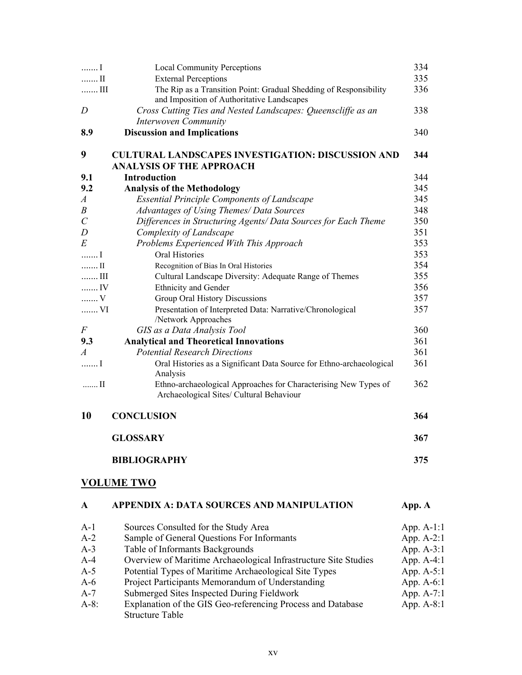| 1                     | <b>Local Community Perceptions</b>                                                                              | 334          |
|-----------------------|-----------------------------------------------------------------------------------------------------------------|--------------|
| $\ldots$ II           | <b>External Perceptions</b>                                                                                     | 335          |
| $\ldots$ III          | The Rip as a Transition Point: Gradual Shedding of Responsibility<br>and Imposition of Authoritative Landscapes | 336          |
| D                     | Cross Cutting Ties and Nested Landscapes: Queenscliffe as an<br><b>Interwoven Community</b>                     | 338          |
| 8.9                   | <b>Discussion and Implications</b>                                                                              | 340          |
| 9                     | <b>CULTURAL LANDSCAPES INVESTIGATION: DISCUSSION AND</b>                                                        | 344          |
|                       | <b>ANALYSIS OF THE APPROACH</b>                                                                                 |              |
| 9.1                   | <b>Introduction</b>                                                                                             | 344          |
| 9.2                   | <b>Analysis of the Methodology</b>                                                                              | 345          |
| $\boldsymbol{A}$      | <b>Essential Principle Components of Landscape</b>                                                              | 345          |
| $\boldsymbol{B}$      | Advantages of Using Themes/ Data Sources                                                                        | 348          |
| $\mathcal{C}_{0}^{0}$ | Differences in Structuring Agents/ Data Sources for Each Theme                                                  | 350          |
| $\boldsymbol{D}$<br>E | Complexity of Landscape                                                                                         | 351<br>353   |
| 1                     | Problems Experienced With This Approach<br>Oral Histories                                                       | 353          |
| $\ldots$ II           |                                                                                                                 | 354          |
| $\ldots$ III          | Recognition of Bias In Oral Histories<br>Cultural Landscape Diversity: Adequate Range of Themes                 | 355          |
| $$ IV                 | Ethnicity and Gender                                                                                            | 356          |
| $\ldots \ldots$ V     | Group Oral History Discussions                                                                                  | 357          |
| VI                    | Presentation of Interpreted Data: Narrative/Chronological                                                       | 357          |
|                       | /Network Approaches                                                                                             |              |
| $\boldsymbol{F}$      | GIS as a Data Analysis Tool                                                                                     | 360          |
| 9.3                   | <b>Analytical and Theoretical Innovations</b>                                                                   | 361          |
| $\overline{A}$        | <b>Potential Research Directions</b>                                                                            | 361          |
| I                     | Oral Histories as a Significant Data Source for Ethno-archaeological<br>Analysis                                | 361          |
| $\ldots$ II           | Ethno-archaeological Approaches for Characterising New Types of<br>Archaeological Sites/ Cultural Behaviour     | 362          |
| 10                    | <b>CONCLUSION</b>                                                                                               | 364          |
|                       | <b>GLOSSARY</b>                                                                                                 | 367          |
|                       | <b>BIBLIOGRAPHY</b>                                                                                             | 375          |
|                       | <b>VOLUME TWO</b>                                                                                               |              |
| A                     | <b>APPENDIX A: DATA SOURCES AND MANIPULATION</b>                                                                | App. A       |
| $A-1$                 | Sources Consulted for the Study Area                                                                            | App. $A-1:1$ |

| $A - I$ | Sources Consulted for the study Area                            | $A$ pp. $A$ -1.1 |
|---------|-----------------------------------------------------------------|------------------|
| $A-2$   | Sample of General Questions For Informants                      | App. $A-2:1$     |
| $A-3$   | Table of Informants Backgrounds                                 | App. $A-3:1$     |
| $A-4$   | Overview of Maritime Archaeological Infrastructure Site Studies | App. $A-4:1$     |
| $A-5$   | Potential Types of Maritime Archaeological Site Types           | App. $A-5:1$     |
| $A-6$   | Project Participants Memorandum of Understanding                | App. $A-6:1$     |
| $A-7$   | Submerged Sites Inspected During Fieldwork                      | App. $A-7:1$     |
| $A-8$ : | Explanation of the GIS Geo-referencing Process and Database     | App. $A-8:1$     |
|         | Structure Table                                                 |                  |
|         |                                                                 |                  |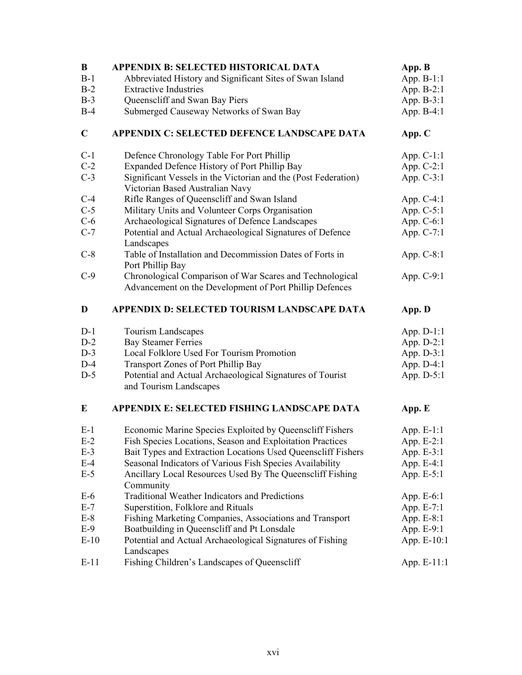| $\bf{B}$    | <b>APPENDIX B: SELECTED HISTORICAL DATA</b>                                                                         | App. B        |
|-------------|---------------------------------------------------------------------------------------------------------------------|---------------|
| $B-1$       | Abbreviated History and Significant Sites of Swan Island                                                            | App. B-1:1    |
| $B-2$       | <b>Extractive Industries</b>                                                                                        | App. B-2:1    |
| $B-3$       | Queenscliff and Swan Bay Piers                                                                                      | App. B-3:1    |
| $B-4$       | Submerged Causeway Networks of Swan Bay                                                                             | App. B-4:1    |
| $\mathbf C$ | APPENDIX C: SELECTED DEFENCE LANDSCAPE DATA                                                                         | App. C        |
| $C-1$       | Defence Chronology Table For Port Phillip                                                                           | App. $C-1:1$  |
| $C-2$       | Expanded Defence History of Port Phillip Bay                                                                        | App. C-2:1    |
| $C-3$       | Significant Vessels in the Victorian and the (Post Federation)<br>Victorian Based Australian Navy                   | App. C-3:1    |
| $C-4$       | Rifle Ranges of Queenscliff and Swan Island                                                                         | App. $C-4:1$  |
| $C-5$       | Military Units and Volunteer Corps Organisation                                                                     | App. C-5:1    |
| $C-6$       | Archaeological Signatures of Defence Landscapes                                                                     | App. C-6:1    |
| $C-7$       | Potential and Actual Archaeological Signatures of Defence<br>Landscapes                                             | App. C-7:1    |
| $C-8$       | Table of Installation and Decommission Dates of Forts in<br>Port Phillip Bay                                        | App. C-8:1    |
| $C-9$       | Chronological Comparison of War Scares and Technological<br>Advancement on the Development of Port Phillip Defences | App. C-9:1    |
| D           | APPENDIX D: SELECTED TOURISM LANDSCAPE DATA                                                                         | App. D        |
| $D-1$       | Tourism Landscapes                                                                                                  | App. $D-1:1$  |
| $D-2$       | <b>Bay Steamer Ferries</b>                                                                                          | App. D-2:1    |
| $D-3$       | Local Folklore Used For Tourism Promotion                                                                           | App. D-3:1    |
| $D-4$       | Transport Zones of Port Phillip Bay                                                                                 | App. D-4:1    |
| $D-5$       | Potential and Actual Archaeological Signatures of Tourist<br>and Tourism Landscapes                                 | App. D-5:1    |
| E           | APPENDIX E: SELECTED FISHING LANDSCAPE DATA                                                                         | App. E        |
| $E-1$       | Economic Marine Species Exploited by Queenscliff Fishers                                                            | App. E-1:1    |
| $E-2$       | Fish Species Locations, Season and Exploitation Practices                                                           | App. E-2:1    |
| $E-3$       | Bait Types and Extraction Locations Used Queenscliff Fishers                                                        | App. E-3:1    |
| $E-4$       | Seasonal Indicators of Various Fish Species Availability                                                            | App. E-4:1    |
| $E-5$       | Ancillary Local Resources Used By The Queenscliff Fishing<br>Community                                              | App. E-5:1    |
| $E-6$       | <b>Traditional Weather Indicators and Predictions</b>                                                               | App. E-6:1    |
| $E-7$       | Superstition, Folklore and Rituals                                                                                  | App. E-7:1    |
| $E-8$       | Fishing Marketing Companies, Associations and Transport                                                             | App. E-8:1    |
| $E-9$       | Boatbuilding in Queenscliff and Pt Lonsdale                                                                         | App. E-9:1    |
| $E-10$      | Potential and Actual Archaeological Signatures of Fishing<br>Landscapes                                             | App. E-10:1   |
| $E-11$      | Fishing Children's Landscapes of Queenscliff                                                                        | App. $E-11:1$ |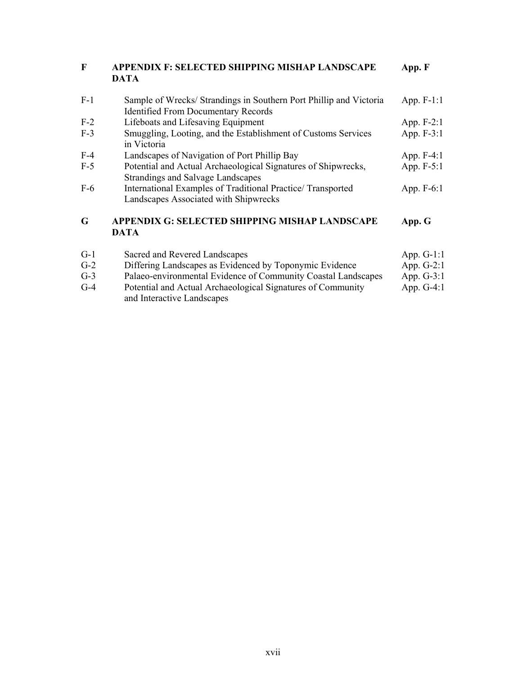| $\mathbf{F}$ | APPENDIX F: SELECTED SHIPPING MISHAP LANDSCAPE<br><b>DATA</b>                                                   | App. F       |
|--------------|-----------------------------------------------------------------------------------------------------------------|--------------|
| $F-1$        | Sample of Wrecks/Strandings in Southern Port Phillip and Victoria<br><b>Identified From Documentary Records</b> | App. F-1:1   |
| $F-2$        | Lifeboats and Lifesaving Equipment                                                                              | App. F-2:1   |
| $F-3$        | Smuggling, Looting, and the Establishment of Customs Services<br>in Victoria                                    | App. F-3:1   |
| $F-4$        | Landscapes of Navigation of Port Phillip Bay                                                                    | App. $F-4:1$ |
| $F-5$        | Potential and Actual Archaeological Signatures of Shipwrecks,<br>Strandings and Salvage Landscapes              | App. F-5:1   |
| $F-6$        | International Examples of Traditional Practice/Transported<br>Landscapes Associated with Shipwrecks             | App. F-6:1   |
| G            | APPENDIX G: SELECTED SHIPPING MISHAP LANDSCAPE<br><b>DATA</b>                                                   | App. G       |
| $G-1$        | Sacred and Revered Landscapes                                                                                   | App. $G-1:1$ |
| $G-2$        | Differing Landscapes as Evidenced by Toponymic Evidence                                                         | App. $G-2:1$ |

G-3 Palaeo-environmental Evidence of Community Coastal Landscapes App. G-3:1 G-4 Potential and Actual Archaeological Signatures of Community App. G-4:1

and Interactive Landscapes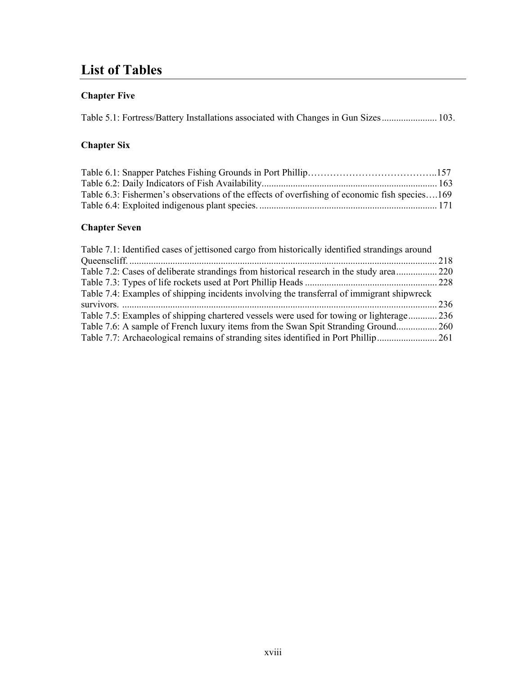# **List of Tables**

## **Chapter Five**

| Table 5.1: Fortress/Battery Installations associated with Changes in Gun Sizes 103. |  |  |  |
|-------------------------------------------------------------------------------------|--|--|--|
|                                                                                     |  |  |  |

### **Chapter Six**

| Table 6.3: Fishermen's observations of the effects of overfishing of economic fish species169 |  |
|-----------------------------------------------------------------------------------------------|--|
|                                                                                               |  |

#### **Chapter Seven**

| Table 7.1: Identified cases of jettisoned cargo from historically identified strandings around |      |
|------------------------------------------------------------------------------------------------|------|
|                                                                                                | 218  |
| Table 7.2: Cases of deliberate strandings from historical research in the study area 220       |      |
|                                                                                                |      |
| Table 7.4: Examples of shipping incidents involving the transferral of immigrant shipwreck     |      |
|                                                                                                | -236 |
| Table 7.5: Examples of shipping chartered vessels were used for towing or lighterage.          | .236 |
| Table 7.6: A sample of French luxury items from the Swan Spit Stranding Ground                 | .260 |
| Table 7.7: Archaeological remains of stranding sites identified in Port Phillip                | 261  |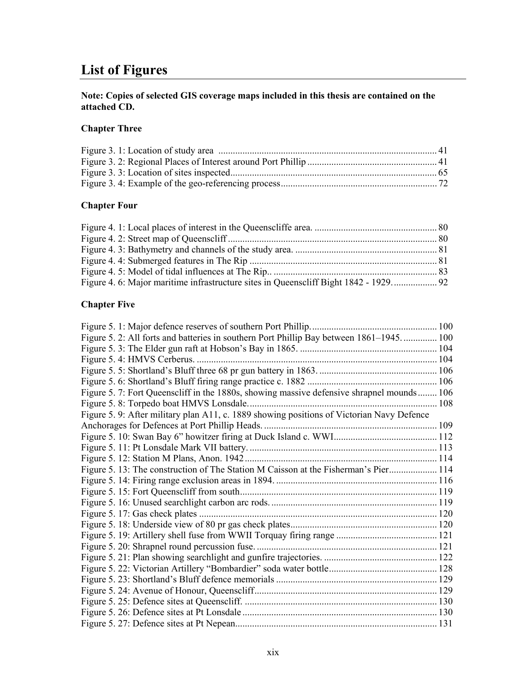# **List of Figures**

#### **Note: Copies of selected GIS coverage maps included in this thesis are contained on the attached CD.**

#### **Chapter Three**

#### **Chapter Four**

#### **Chapter Five**

| Figure 5. 2: All forts and batteries in southern Port Phillip Bay between 1861–1945 100   |  |
|-------------------------------------------------------------------------------------------|--|
|                                                                                           |  |
|                                                                                           |  |
|                                                                                           |  |
|                                                                                           |  |
| Figure 5. 7: Fort Queenscliff in the 1880s, showing massive defensive shrapnel mounds 106 |  |
|                                                                                           |  |
| Figure 5. 9: After military plan A11, c. 1889 showing positions of Victorian Navy Defence |  |
|                                                                                           |  |
|                                                                                           |  |
|                                                                                           |  |
|                                                                                           |  |
| Figure 5. 13: The construction of The Station M Caisson at the Fisherman's Pier 114       |  |
|                                                                                           |  |
|                                                                                           |  |
|                                                                                           |  |
|                                                                                           |  |
|                                                                                           |  |
|                                                                                           |  |
|                                                                                           |  |
|                                                                                           |  |
|                                                                                           |  |
|                                                                                           |  |
|                                                                                           |  |
|                                                                                           |  |
|                                                                                           |  |
|                                                                                           |  |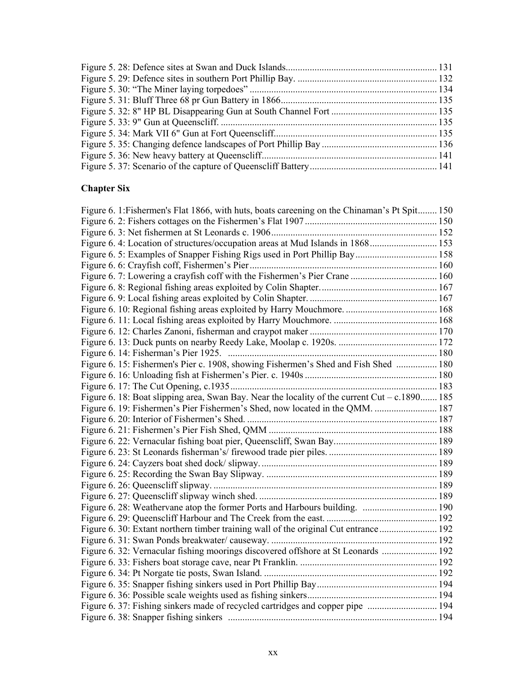### **Chapter Six**

| Figure 6. 1: Fishermen's Flat 1866, with huts, boats careening on the Chinaman's Pt Spit 150  |  |
|-----------------------------------------------------------------------------------------------|--|
|                                                                                               |  |
|                                                                                               |  |
|                                                                                               |  |
|                                                                                               |  |
|                                                                                               |  |
| Figure 6. 7: Lowering a crayfish coff with the Fishermen's Pier Crane  160                    |  |
|                                                                                               |  |
|                                                                                               |  |
|                                                                                               |  |
|                                                                                               |  |
|                                                                                               |  |
|                                                                                               |  |
|                                                                                               |  |
| Figure 6. 15: Fishermen's Pier c. 1908, showing Fishermen's Shed and Fish Shed  180           |  |
|                                                                                               |  |
|                                                                                               |  |
| Figure 6. 18: Boat slipping area, Swan Bay. Near the locality of the current Cut – c.1890 185 |  |
| Figure 6. 19: Fishermen's Pier Fishermen's Shed, now located in the QMM.  187                 |  |
|                                                                                               |  |
|                                                                                               |  |
|                                                                                               |  |
|                                                                                               |  |
|                                                                                               |  |
|                                                                                               |  |
|                                                                                               |  |
|                                                                                               |  |
|                                                                                               |  |
|                                                                                               |  |
| Figure 6. 30: Extant northern timber training wall of the original Cut entrance 192           |  |
|                                                                                               |  |
| Figure 6. 32: Vernacular fishing moorings discovered offshore at St Leonards  192             |  |
|                                                                                               |  |
|                                                                                               |  |
|                                                                                               |  |
|                                                                                               |  |
|                                                                                               |  |
|                                                                                               |  |
|                                                                                               |  |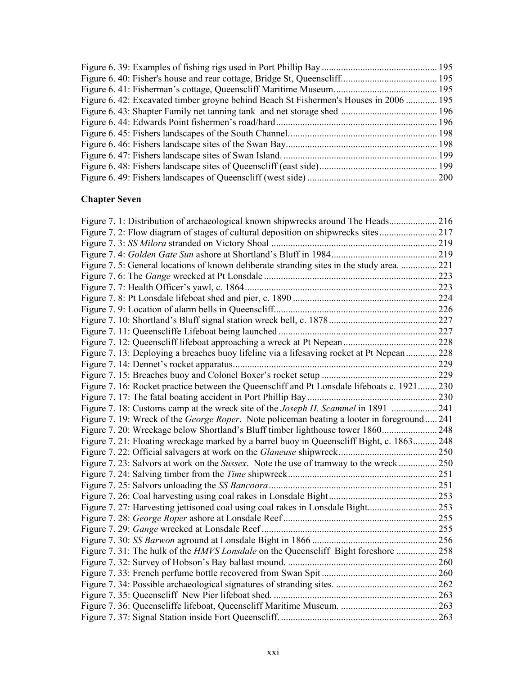| Figure 6.42: Excavated timber groyne behind Beach St Fishermen's Houses in 2006  195 |  |
|--------------------------------------------------------------------------------------|--|
|                                                                                      |  |
|                                                                                      |  |
|                                                                                      |  |
|                                                                                      |  |
|                                                                                      |  |
|                                                                                      |  |
|                                                                                      |  |

### **Chapter Seven**

| Figure 7. 1: Distribution of archaeological known shipwrecks around The Heads 216                 |  |
|---------------------------------------------------------------------------------------------------|--|
| Figure 7. 2: Flow diagram of stages of cultural deposition on shipwrecks sites217                 |  |
|                                                                                                   |  |
|                                                                                                   |  |
| Figure 7. 5: General locations of known deliberate stranding sites in the study area.  221        |  |
|                                                                                                   |  |
|                                                                                                   |  |
|                                                                                                   |  |
|                                                                                                   |  |
|                                                                                                   |  |
|                                                                                                   |  |
|                                                                                                   |  |
| Figure 7. 13: Deploying a breaches buoy lifeline via a lifesaving rocket at Pt Nepean 228         |  |
|                                                                                                   |  |
|                                                                                                   |  |
| Figure 7. 16: Rocket practice between the Queenscliff and Pt Lonsdale lifeboats c. 1921 230       |  |
|                                                                                                   |  |
| Figure 7. 18: Customs camp at the wreck site of the <i>Joseph H. Scammel</i> in 1891 241          |  |
| Figure 7. 19: Wreck of the <i>George Roper</i> . Note policeman beating a looter in foreground241 |  |
|                                                                                                   |  |
| Figure 7. 21: Floating wreckage marked by a barrel buoy in Queenscliff Bight, c. 1863 248         |  |
|                                                                                                   |  |
| Figure 7. 23: Salvors at work on the <i>Sussex</i> . Note the use of tramway to the wreck 250     |  |
|                                                                                                   |  |
|                                                                                                   |  |
|                                                                                                   |  |
|                                                                                                   |  |
|                                                                                                   |  |
|                                                                                                   |  |
|                                                                                                   |  |
| Figure 7. 31: The hulk of the HMVS Lonsdale on the Queenscliff Bight foreshore  258               |  |
|                                                                                                   |  |
|                                                                                                   |  |
|                                                                                                   |  |
|                                                                                                   |  |
|                                                                                                   |  |
|                                                                                                   |  |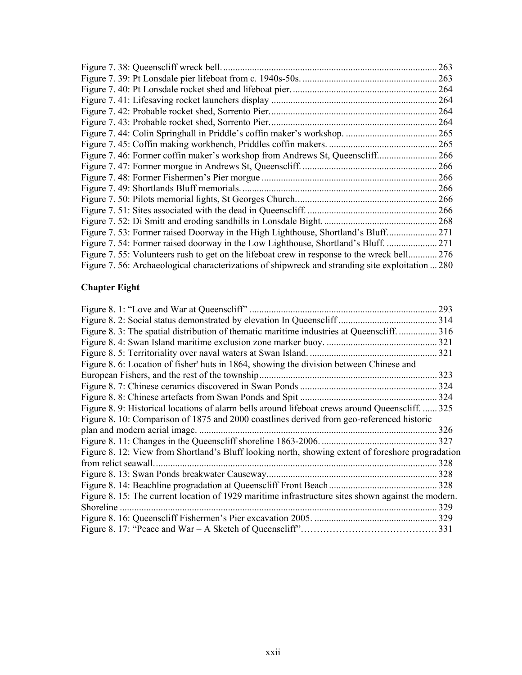| Figure 7. 38: Queenscliff wreck bell.                                                            | 263   |
|--------------------------------------------------------------------------------------------------|-------|
|                                                                                                  | 263   |
|                                                                                                  | 264   |
|                                                                                                  | 264   |
|                                                                                                  | 264   |
| Figure 7.43: Probable rocket shed, Sorrento Pier.                                                | 264   |
|                                                                                                  | 265   |
|                                                                                                  | . 265 |
|                                                                                                  | . 266 |
|                                                                                                  | 266   |
|                                                                                                  | 266   |
|                                                                                                  | 266   |
|                                                                                                  | 266   |
|                                                                                                  | 266   |
|                                                                                                  | .268  |
| Figure 7. 53: Former raised Doorway in the High Lighthouse, Shortland's Bluff                    | 271   |
| Figure 7. 54: Former raised doorway in the Low Lighthouse, Shortland's Bluff                     | . 271 |
| Figure 7. 55: Volunteers rush to get on the lifeboat crew in response to the wreck bell          | .276  |
| Figure 7. 56: Archaeological characterizations of shipwreck and stranding site exploitation  280 |       |

### **Chapter Eight**

|                                                                                                   | 293   |
|---------------------------------------------------------------------------------------------------|-------|
|                                                                                                   | 314   |
| Figure 8. 3: The spatial distribution of thematic maritime industries at Queenscliff              | 316   |
|                                                                                                   | 321   |
|                                                                                                   | 321   |
| Figure 8. 6: Location of fisher' huts in 1864, showing the division between Chinese and           |       |
| European Fishers, and the rest of the township                                                    | 323   |
|                                                                                                   | 324   |
| Figure 8. 8: Chinese artefacts from Swan Ponds and Spit.                                          | 324   |
| Figure 8. 9: Historical locations of alarm bells around lifeboat crews around Queenscliff.        | 325   |
| Figure 8. 10: Comparison of 1875 and 2000 coastlines derived from geo-referenced historic         |       |
| plan and modern aerial image.                                                                     | 326   |
|                                                                                                   | 327   |
| Figure 8. 12: View from Shortland's Bluff looking north, showing extent of foreshore progradation |       |
| from relict seawall.                                                                              | 328   |
|                                                                                                   | 328   |
|                                                                                                   | 328   |
| Figure 8.15: The current location of 1929 maritime infrastructure sites shown against the modern. |       |
| Shoreline                                                                                         | 329   |
|                                                                                                   | 329   |
|                                                                                                   | . 331 |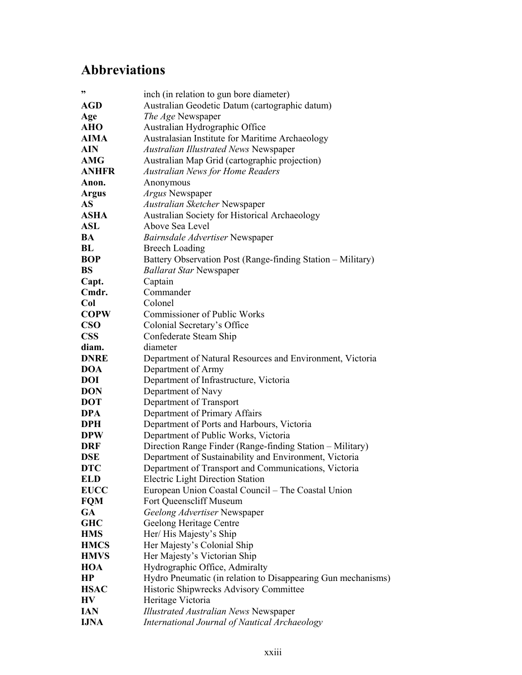# **Abbreviations**

| ,,           | inch (in relation to gun bore diameter)                      |
|--------------|--------------------------------------------------------------|
| AGD          | Australian Geodetic Datum (cartographic datum)               |
| Age          | The Age Newspaper                                            |
| <b>AHO</b>   | Australian Hydrographic Office                               |
| AIMA         | Australasian Institute for Maritime Archaeology              |
| <b>AIN</b>   | <b>Australian Illustrated News Newspaper</b>                 |
| <b>AMG</b>   | Australian Map Grid (cartographic projection)                |
| <b>ANHFR</b> | Australian News for Home Readers                             |
| Anon.        | Anonymous                                                    |
| <b>Argus</b> | Argus Newspaper                                              |
| AS           | Australian Sketcher Newspaper                                |
| <b>ASHA</b>  | Australian Society for Historical Archaeology                |
| <b>ASL</b>   | Above Sea Level                                              |
| BA           | Bairnsdale Advertiser Newspaper                              |
| BL           | <b>Breech Loading</b>                                        |
| <b>BOP</b>   | Battery Observation Post (Range-finding Station – Military)  |
| <b>BS</b>    | <b>Ballarat Star Newspaper</b>                               |
| Capt.        | Captain                                                      |
| Cmdr.        | Commander                                                    |
| Col          | Colonel                                                      |
| <b>COPW</b>  | Commissioner of Public Works                                 |
| <b>CSO</b>   | Colonial Secretary's Office                                  |
| <b>CSS</b>   | Confederate Steam Ship                                       |
| diam.        | diameter                                                     |
| <b>DNRE</b>  | Department of Natural Resources and Environment, Victoria    |
| <b>DOA</b>   | Department of Army                                           |
| <b>DOI</b>   | Department of Infrastructure, Victoria                       |
| <b>DON</b>   | Department of Navy                                           |
| <b>DOT</b>   | Department of Transport                                      |
| DPA          | Department of Primary Affairs                                |
| DPH          | Department of Ports and Harbours, Victoria                   |
| <b>DPW</b>   | Department of Public Works, Victoria                         |
| <b>DRF</b>   | Direction Range Finder (Range-finding Station - Military)    |
| <b>DSE</b>   | Department of Sustainability and Environment, Victoria       |
| <b>DTC</b>   | Department of Transport and Communications, Victoria         |
| <b>ELD</b>   | <b>Electric Light Direction Station</b>                      |
| <b>EUCC</b>  | European Union Coastal Council – The Coastal Union           |
| <b>FQM</b>   | Fort Queenscliff Museum                                      |
| <b>GA</b>    | Geelong Advertiser Newspaper                                 |
| <b>GHC</b>   | Geelong Heritage Centre                                      |
| <b>HMS</b>   | Her/His Majesty's Ship                                       |
| <b>HMCS</b>  | Her Majesty's Colonial Ship                                  |
| <b>HMVS</b>  | Her Majesty's Victorian Ship                                 |
| <b>HOA</b>   | Hydrographic Office, Admiralty                               |
| HP           | Hydro Pneumatic (in relation to Disappearing Gun mechanisms) |
| <b>HSAC</b>  | Historic Shipwrecks Advisory Committee                       |
| HV           | Heritage Victoria                                            |
| <b>IAN</b>   | <b>Illustrated Australian News Newspaper</b>                 |
| <b>IJNA</b>  | International Journal of Nautical Archaeology                |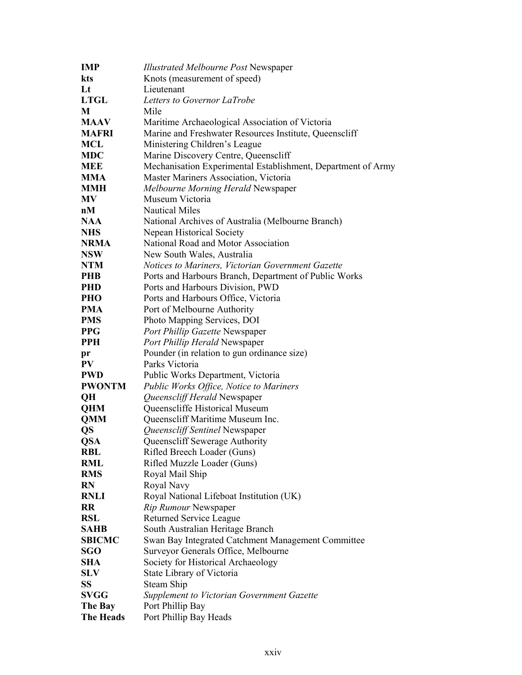| <b>IMP</b>    | <b>Illustrated Melbourne Post Newspaper</b>                  |
|---------------|--------------------------------------------------------------|
| kts           | Knots (measurement of speed)                                 |
| Lt            | Lieutenant                                                   |
| <b>LTGL</b>   | Letters to Governor LaTrobe                                  |
| M             | Mile                                                         |
| <b>MAAV</b>   | Maritime Archaeological Association of Victoria              |
| <b>MAFRI</b>  | Marine and Freshwater Resources Institute, Queenscliff       |
| <b>MCL</b>    | Ministering Children's League                                |
| <b>MDC</b>    | Marine Discovery Centre, Queenscliff                         |
| <b>MEE</b>    | Mechanisation Experimental Establishment, Department of Army |
| <b>MMA</b>    | Master Mariners Association, Victoria                        |
| <b>MMH</b>    | Melbourne Morning Herald Newspaper                           |
| <b>MV</b>     | Museum Victoria                                              |
| nM            | <b>Nautical Miles</b>                                        |
| <b>NAA</b>    | National Archives of Australia (Melbourne Branch)            |
| <b>NHS</b>    | Nepean Historical Society                                    |
| <b>NRMA</b>   | National Road and Motor Association                          |
| <b>NSW</b>    | New South Wales, Australia                                   |
| <b>NTM</b>    | Notices to Mariners, Victorian Government Gazette            |
| <b>PHB</b>    | Ports and Harbours Branch, Department of Public Works        |
| <b>PHD</b>    | Ports and Harbours Division, PWD                             |
| PHO           | Ports and Harbours Office, Victoria                          |
| <b>PMA</b>    | Port of Melbourne Authority                                  |
| <b>PMS</b>    | Photo Mapping Services, DOI                                  |
| <b>PPG</b>    | Port Phillip Gazette Newspaper                               |
| <b>PPH</b>    | Port Phillip Herald Newspaper                                |
| pr            | Pounder (in relation to gun ordinance size)                  |
| PV            | Parks Victoria                                               |
| <b>PWD</b>    | Public Works Department, Victoria                            |
| <b>PWONTM</b> | Public Works Office, Notice to Mariners                      |
| QH            | Queenscliff Herald Newspaper                                 |
| <b>QHM</b>    | Queenscliffe Historical Museum                               |
| <b>QMM</b>    | Queenscliff Maritime Museum Inc.                             |
| QS            | Queenscliff Sentinel Newspaper                               |
| <b>QSA</b>    | Queenscliff Sewerage Authority                               |
| <b>RBL</b>    | Rifled Breech Loader (Guns)                                  |
| <b>RML</b>    | Rifled Muzzle Loader (Guns)                                  |
| <b>RMS</b>    | Royal Mail Ship                                              |
| <b>RN</b>     | Royal Navy                                                   |
| <b>RNLI</b>   | Royal National Lifeboat Institution (UK)                     |
| <b>RR</b>     | Rip Rumour Newspaper                                         |
| <b>RSL</b>    | Returned Service League                                      |
| <b>SAHB</b>   | South Australian Heritage Branch                             |
| <b>SBICMC</b> | Swan Bay Integrated Catchment Management Committee           |
| <b>SGO</b>    | Surveyor Generals Office, Melbourne                          |
| <b>SHA</b>    | Society for Historical Archaeology                           |
| <b>SLV</b>    | State Library of Victoria                                    |
| <b>SS</b>     | Steam Ship                                                   |
| <b>SVGG</b>   | Supplement to Victorian Government Gazette                   |
| The Bay       | Port Phillip Bay                                             |
| The Heads     | Port Phillip Bay Heads                                       |